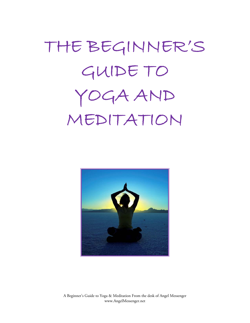# THE BEGINNER'S GUIDE TO YOGA AND MEDITATION



A Beginner's Guide to Yoga & Meditation From the desk of Angel Messenger www.AngelMessenger.net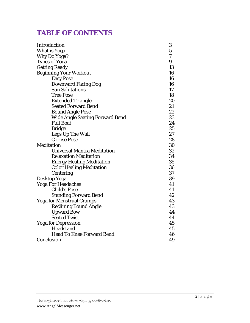# **TABLE OF CONTENTS**

| Introduction                           | 3           |
|----------------------------------------|-------------|
| What is Yoga                           | $\mathbf 5$ |
| Why Do Yoga?                           | 7           |
| <b>Types of Yoga</b>                   | 9           |
| <b>Getting Ready</b>                   | 13          |
| <b>Beginning Your Workout</b>          | 16          |
| <b>Easy Pose</b>                       | 16          |
| <b>Downward Facing Dog</b>             | 16          |
| <b>Sun Salutations</b>                 | 17          |
| <b>Tree Pose</b>                       | 18          |
| <b>Extended Triangle</b>               | 20          |
| <b>Seated Forward Bend</b>             | 21          |
| <b>Bound Angle Pose</b>                | 22          |
| <b>Wide Angle Seating Forward Bend</b> | 23          |
| <b>Full Boat</b>                       | 24          |
| <b>Bridge</b>                          | 25          |
| Legs Up The Wall                       | 27          |
| <b>Corpse Pose</b>                     | 28          |
| <b>Meditation</b>                      | 30          |
| <b>Universal Mantra Meditation</b>     | 32          |
| <b>Relaxation Meditation</b>           | 34          |
| <b>Energy Healing Meditation</b>       | 35          |
| <b>Color Healing Meditation</b>        | 36          |
| Centering                              | 37          |
| Desktop Yoga                           | 39          |
| <b>Yoga For Headaches</b>              | 41          |
| <b>Child's Pose</b>                    | 41          |
| <b>Standing Forward Bend</b>           | 42          |
| <b>Yoga for Menstrual Cramps</b>       | 43          |
| <b>Reclining Bound Angle</b>           | 43          |
| <b>Upward Bow</b>                      | 44          |
| <b>Seated Twist</b>                    | 44          |
| <b>Yoga for Depression</b>             | 45          |
| Headstand                              | 45          |
| <b>Head To Knee Forward Bend</b>       | 46          |
| Conclusion                             | 49          |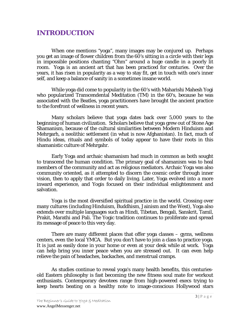# **INTRODUCTION**

When one mentions "yoga", many images may be conjured up. Perhaps you get an image of flower children from the 60's sitting in a circle with their legs in impossible positions chanting "Ohm" around a huge candle in a poorly lit room. Yoga is an ancient art that has been practiced for centuries. Over the years, it has risen in popularity as a way to stay fit, get in touch with one's inner self, and keep a balance of sanity in a sometimes insane world.

While yoga did come to popularity in the 60's with Maharishi Mahesh Yogi who popularized Transcendental Meditation (TM) in the 60's, because he was associated with the Beatles, yoga practitioners have brought the ancient practice to the forefront of wellness in recent years.

Many scholars believe that yoga dates back over 5,000 years to the beginning of human civilization. Scholars believe that yoga grew out of Stone Age Shamanism, because of the cultural similarities between Modern Hinduism and Mehrgarh, a neolithic settlement (in what is now Afghanistan). In fact, much of Hindu ideas, rituals and symbols of today appear to have their roots in this shamanistic culture of Mehrgahr.

Early Yoga and archaic shamanism had much in common as both sought to transcend the human condition. The primary goal of shamanism was to heal members of the community and act as religious mediators. Archaic Yoga was also community oriented, as it attempted to discern the cosmic order through inner vision, then to apply that order to daily living. Later, Yoga evolved into a more inward experience, and Yogis focused on their individual enlightenment and salvation.

Yoga is the most diversified spiritual practice in the world. Crossing over many cultures (including Hinduism, Buddhism, Jainism and the West), Yoga also extends over multiple languages such as Hindi, Tibetan, Bengali, Sanskrit, Tamil, Prakit, Marathi and Pali. The Yogic tradition continues to proliferate and spread its message of peace to this very day.

There are many different places that offer yoga classes – gyms, wellness centers, even the local YMCA. But you don't have to join a class to practice yoga. It is just as easily done in your home or even at your desk while at work. Yoga can help bring you inner peace when you are stressed out. It can even help relieve the pain of headaches, backaches, and menstrual cramps.

As studies continue to reveal yoga's many health benefits, this centuriesold Eastern philosophy is fast becoming the new fitness soul mate for workout enthusiasts. Contemporary devotees range from high-powered execs trying to keep hearts beating on a healthy note to image-conscious Hollywood stars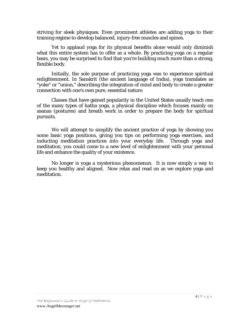striving for sleek physiques. Even prominent athletes are adding yoga to their training regime to develop balanced, injury-free muscles and spines.

Yet to applaud yoga for its physical benefits alone would only diminish what this entire system has to offer as a whole. By practicing yoga on a regular basis, you may be surprised to find that you're building much more than a strong, flexible body.

Initially, the sole purpose of practicing yoga was to experience spiritual enlightenment. In Sanskrit (the ancient language of India), yoga translates as "yoke" or "union," describing the integration of mind and body to create a greater connection with one's own pure, essential nature.

Classes that have gained popularity in the United States usually teach one of the many types of hatha yoga, a physical discipline which focuses mainly on asanas (postures) and breath work in order to prepare the body for spiritual pursuits.

We will attempt to simplify the ancient practice of yoga by showing you some basic yoga positions, giving you tips on performing yoga exercises, and inducting meditation practices into your everyday life. Through yoga and meditation, you could come to a new level of enlightenment with your personal life and enhance the quality of your existence.

No longer is yoga a mysterious phenomenon. It is now simply a way to keep you healthy and aligned. Now relax and read on as we explore yoga and meditation.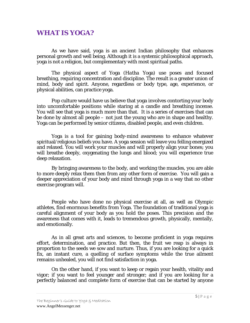# **WHAT IS YOGA?**

As we have said, yoga is an ancient Indian philosophy that enhances personal growth and well being. Although it is a systemic philosophical approach, yoga is not a religion, but complementary with most spiritual paths.

The physical aspect of Yoga (*Hatha* Yoga) use poses and focused breathing, requiring concentration and discipline. The result is a greater union of mind, body and spirit. Anyone, regardless or body type, age, experience, or physical abilities, can practice yoga.

Pop culture would have us believe that yoga involves contorting your body into uncomfortable positions while staring at a candle and breathing incense. You will see that yoga is much more than that. It is a series of exercises that can be done by almost all people – not just the young who are in shape and healthy. Yoga can be performed by senior citizens, disabled people, and even children.

Yoga is a tool for gaining body-mind awareness to enhance whatever spiritual/religious beliefs you have. A yoga session will leave you felling energized and relaxed. You will work your muscles and will properly align your bones; you will breathe deeply, oxygenating the lungs and blood; you will experience true deep relaxation.

By bringing awareness to the body, and working the muscles, you are able to more deeply relax them then from any other form of exercise. You will gain a deeper appreciation of your body and mind through yoga in a way that no other exercise program will.

People who have done no physical exercise at all, as well as Olympic athletes, find enormous benefits from Yoga. The foundation of traditional yoga is careful alignment of your body as you hold the poses. This precision and the awareness that comes with it, leads to tremendous growth, physically, mentally, and emotionally.

As in all great arts and sciences, to become proficient in yoga requires effort, determination, and practice. But then, the fruit we reap is always in proportion to the seeds we sow and nurture. Thus, if you are looking for a quick fix, an instant cure, a quelling of surface symptoms while the true ailment remains unhealed, you will not find satisfaction in yoga.

On the other hand, if you want to keep or regain your health, vitality and vigor; if you want to feel younger and stronger; and if you are looking for a perfectly balanced and complete form of exercise that can be started by anyone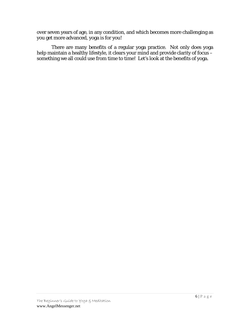over seven years of age, in any condition, and which becomes more challenging as you get more advanced, yoga is for you!

There are many benefits of a regular yoga practice. Not only does yoga help maintain a healthy lifestyle, it clears your mind and provide clarity of focus – something we all could use from time to time! Let's look at the benefits of yoga.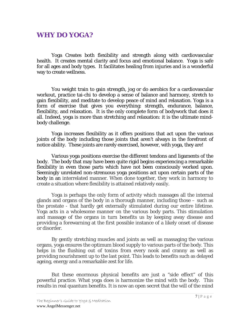# **WHY DO YOGA?**

Yoga Creates both flexibility and strength along with cardiovascular health. It creates mental clarity and focus and emotional balance. Yoga is safe for all ages and body types. It facilitates healing from injuries and is a wonderful way to create wellness.

You weight train to gain strength, jog or do aerobics for a cardiovascular workout, practice tai-chi to develop a sense of balance and harmony, stretch to gain flexibility, and meditate to develop peace of mind and relaxation. Yoga is a form of exercise that gives you everything: strength, endurance, balance, flexibility, and relaxation. It is the only complete form of bodywork that does it all. Indeed, yoga is more than stretching and relaxation: it is the ultimate mindbody challenge.

Yoga increases flexibility as it offers positions that act upon the various joints of the body including those joints that aren't always in the forefront of notice ability. These joints are rarely exercised, however, with yoga, they are!

Various yoga positions exercise the different tendons and ligaments of the body. The body that may have been quite rigid begins experiencing a remarkable flexibility in even those parts which have not been consciously worked upon. Seemingly unrelated non-strenuous yoga positions act upon certain parts of the body in an interrelated manner. When done together, they work in harmony to create a situation where flexibility is attained relatively easily.

Yoga is perhaps the only form of activity which massages all the internal glands and organs of the body in a thorough manner, including those – such as the prostate - that hardly get externally stimulated during our entire lifetime. Yoga acts in a wholesome manner on the various body parts. This stimulation and massage of the organs in turn benefits us by keeping away disease and providing a forewarning at the first possible instance of a likely onset of disease or disorder.

By gently stretching muscles and joints as well as massaging the various organs, yoga ensures the optimum blood supply to various parts of the body. This helps in the flushing out of toxins from every nook and cranny as well as providing nourishment up to the last point. This leads to benefits such as delayed ageing, energy and a remarkable zest for life.

But these enormous physical benefits are just a "side effect" of this powerful practice. What yoga does is harmonize the mind with the body. This results in real quantum benefits. It is now an open secret that the will of the mind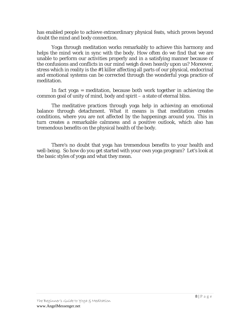has enabled people to achieve extraordinary physical feats, which proves beyond doubt the mind and body connection.

Yoga through meditation works remarkably to achieve this harmony and helps the mind work in sync with the body. How often do we find that we are unable to perform our activities properly and in a satisfying manner because of the confusions and conflicts in our mind weigh down heavily upon us? Moreover, stress which in reality is the #1 killer affecting all parts of our physical, endocrinal and emotional systems can be corrected through the wonderful yoga practice of meditation.

In fact yoga = meditation, because both work together in achieving the common goal of unity of mind, body and spirit – a state of eternal bliss.

The meditative practices through yoga help in achieving an emotional balance through detachment. What it means is that meditation creates conditions, where you are not affected by the happenings around you. This in turn creates a remarkable calmness and a positive outlook, which also has tremendous benefits on the physical health of the body.

 There's no doubt that yoga has tremendous benefits to your health and well-being. So how do you get started with your own yoga program? Let's look at the basic styles of yoga and what they mean.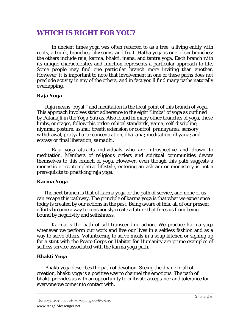# **WHICH IS RIGHT FOR YOU?**

In ancient times yoga was often referred to as a tree, a living entity with roots, a trunk, branches, blossoms, and fruit. Hatha yoga is one of six branches; the others include raja, karma, bhakti, jnana, and tantra yoga. Each branch with its unique characteristics and function represents a particular approach to life. Some people may find one particular branch more inviting than another. However, it is important to note that involvement in one of these paths does not preclude activity in any of the others, and in fact you'll find many paths naturally overlapping.

## **Raja Yoga**

 Raja means "royal," and meditation is the focal point of this branch of yoga. This approach involves strict adherence to the eight "limbs" of yoga as outlined by Patanajli in the *Yoga Sutras*. Also found in many other branches of yoga, these limbs, or stages, follow this order: ethical standards, *yama*; self-discipline, *niyama*; posture, *asana*; breath extension or control, *pranayama*; sensory withdrawal, *pratyahara*; concentration, *dharana*; meditation, *dhyana*; and ecstasy or final liberation, *samadhi*.

Raja yoga attracts individuals who are introspective and drawn to meditation. Members of religious orders and spiritual communities devote themselves to this branch of yoga. However, even though this path suggests a monastic or contemplative lifestyle, entering an ashram or monastery is not a prerequisite to practicing raja yoga.

#### **Karma Yoga**

 The next branch is that of karma yoga or the path of service, and none of us can escape this pathway. The principle of karma yoga is that what we experience today is created by our actions in the past. Being aware of this, all of our present efforts become a way to consciously create a future that frees us from being bound by negativity and selfishness.

Karma is the path of self-transcending action. We practice karma yoga whenever we perform our work and live our lives in a selfless fashion and as a way to serve others. Volunteering to serve meals in a soup kitchen or signing up for a stint with the Peace Corps or Habitat for Humanity are prime examples of selfless service associated with the karma yoga path.

## **Bhakti Yoga**

 Bhakti yoga describes the path of devotion. Seeing the divine in all of creation, bhakti yoga is a positive way to channel the emotions. The path of bhakti provides us with an opportunity to cultivate acceptance and tolerance for everyone we come into contact with.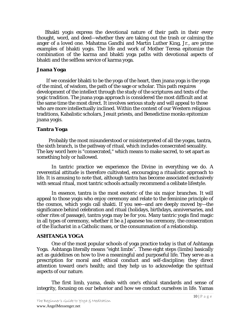Bhakti yogis express the devotional nature of their path in their every thought, word, and deed—whether they are taking out the trash or calming the anger of a loved one. Mahatma Gandhi and Martin Luther King, Jr., are prime examples of bhakti yogis. The life and work of Mother Teresa epitomize the combination of the karma and bhakti yoga paths with devotional aspects of bhakti and the selfless service of karma yoga.

#### **Jnana Yoga**

 If we consider bhakti to be the yoga of the heart, then jnana yoga is the yoga of the mind, of wisdom, the path of the sage or scholar. This path requires development of the intellect through the study of the scriptures and texts of the yogic tradition. The jnana yoga approach is considered the most difficult and at the same time the most direct. It involves serious study and will appeal to those who are more intellectually inclined. Within the context of our Western religious traditions, Kabalistic scholars, Jesuit priests, and Benedictine monks epitomize jnana yogis.

#### **Tantra Yoga**

 Probably the most misunderstood or misinterpreted of all the yogas, tantra, the sixth branch, is the pathway of ritual, which includes consecrated sexuality. The key word here is "consecrated," which means to make sacred, to set apart as something holy or hallowed.

In tantric practice we experience the Divine in everything we do. A reverential attitude is therefore cultivated, encouraging a ritualistic approach to life. It is amusing to note that, although tantra has become associated exclusively with sexual ritual, most tantric schools actually recommend a celibate lifestyle.

In essence, tantra is the most esoteric of the six major branches. It will appeal to those yogis who enjoy ceremony and relate to the feminine principle of the cosmos, which yogis call shakti. If you see—and are deeply moved by—the significance behind celebration and ritual (holidays, birthdays, anniversaries, and other rites of passage), tantra yoga may be for you. Many tantric yogis find magic in all types of ceremony, whether it be a Japanese tea ceremony, the consecration of the Eucharist in a Catholic mass, or the consummation of a relationship.

#### **ASHTANGA YOGA**

One of the most popular schools of yoga practice today is that of Ashtanga Yoga. Ashtanga literally means "eight limbs". These eight steps (limbs) basically act as guidelines on how to live a meaningful and purposeful life. They serve as a prescription for moral and ethical conduct and self-discipline; they direct attention toward one's health; and they help us to acknowledge the spiritual aspects of our nature.

The first limb, *yama*, deals with one's ethical standards and sense of integrity, focusing on our behavior and how we conduct ourselves in life. Yamas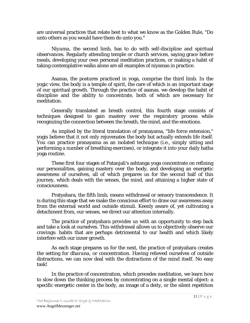are universal practices that relate best to what we know as the Golden Rule, "Do unto others as you would have them do unto you."

*Niyama,* the second limb, has to do with self-discipline and spiritual observances. Regularly attending temple or church services, saying grace before meals, developing your own personal meditation practices, or making a habit of taking contemplative walks alone are all examples of niyamas in practice.

Asanas, the postures practiced in yoga, comprise the third limb. In the yogic view, the body is a temple of spirit, the care of which is an important stage of our spiritual growth. Through the practice of asanas, we develop the habit of discipline and the ability to concentrate, both of which are necessary for meditation.

Generally translated as breath control, this fourth stage consists of techniques designed to gain mastery over the respiratory process while recognizing the connection between the breath, the mind, and the emotions.

As implied by the literal translation of pranayama, "life force extension," yogis believe that it not only rejuvenates the body but actually extends life itself. You can practice pranayama as an isolated technique (i.e., simply sitting and performing a number of breathing exercises), or integrate it into your daily hatha yoga routine.

These first four stages of Patanjali's ashtanga yoga concentrate on refining our personalities, gaining mastery over the body, and developing an energetic awareness of ourselves, all of which prepares us for the second half of this journey, which deals with the senses, the mind, and attaining a higher state of consciousness.

Pratyahara, the fifth limb, means withdrawal or sensory transcendence. It is during this stage that we make the conscious effort to draw our awareness away from the external world and outside stimuli. Keenly aware of, yet cultivating a detachment from, our senses, we direct our attention internally.

The practice of pratyahara provides us with an opportunity to step back and take a look at ourselves. This withdrawal allows us to objectively observe our cravings: habits that are perhaps detrimental to our health and which likely interfere with our inner growth.

As each stage prepares us for the next, the practice of pratyahara creates the setting for *dharana,* or concentration. Having relieved ourselves of outside distractions, we can now deal with the distractions of the mind itself. No easy task!

In the practice of concentration, which precedes meditation, we learn how to slow down the thinking process by concentrating on a single mental object: a specific energetic center in the body, an image of a deity, or the silent repetition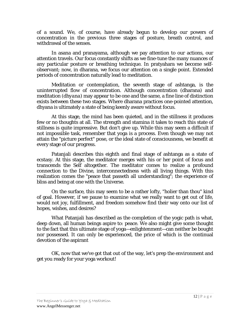of a sound. We, of course, have already begun to develop our powers of concentration in the previous three stages of posture, breath control, and withdrawal of the senses.

In asana and pranayama, although we pay attention to our actions, our attention travels. Our focus constantly shifts as we fine-tune the many nuances of any particular posture or breathing technique. In pratyahara we become selfobservant; now, in dharana, we focus our attention on a single point. Extended periods of concentration naturally lead to meditation.

Meditation or contemplation, the seventh stage of ashtanga, is the uninterrupted flow of concentration. Although concentration (dharana) and meditation (*dhyana*) may appear to be one and the same, a fine line of distinction exists between these two stages. Where dharana practices one-pointed attention, dhyana is ultimately a state of being keenly aware without focus.

At this stage, the mind has been quieted, and in the stillness it produces few or no thoughts at all. The strength and stamina it takes to reach this state of stillness is quite impressive. But don't give up. While this may seem a difficult if not impossible task, remember that yoga is a process. Even though we may not attain the "picture perfect" pose, or the ideal state of consciousness, we benefit at every stage of our progress.

Patanjali describes this eighth and final stage of ashtanga as a state of ecstasy. At this stage, the meditator merges with his or her point of focus and transcends the Self altogether. The meditator comes to realize a profound connection to the Divine, interconnectedness with all living things. With this realization comes the "peace that passeth all understanding"; the experience of bliss and being at one with the Universe.

On the surface, this may seem to be a rather lofty, "holier than thou" kind of goal. However, if we pause to examine what we really want to get out of life, would not joy, fulfillment, and freedom somehow find their way onto our list of hopes, wishes, and desires?

What Patanjali has described as the completion of the yogic path is what, deep down, all human beings aspire to: peace. We also might give some thought to the fact that this ultimate stage of yoga—enlightenment—can neither be bought nor possessed. It can only be experienced, the price of which is the continual devotion of the aspirant

OK, now that we've got that out of the way, let's prep the environment and get you ready for your yoga workout!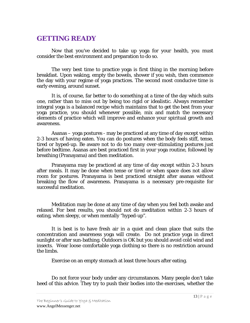# **GETTING READY**

Now that you've decided to take up yoga for your health, you must consider the best environment and preparation to do so.

The very best time to practice yoga is first thing in the morning before breakfast. Upon waking, empty the bowels, shower if you wish, then commence the day with your regime of yoga practices. The second most conducive time is early evening, around sunset.

It is, of course, far better to do something at a time of the day which suits one, rather than to miss out by being too rigid or idealistic. Always remember integral yoga is a balanced recipe which maintains that to get the best from your yoga practice, you should whenever possible, mix and match the necessary elements of practice which will improve and enhance your spiritual growth and awareness.

Asanas – yoga postures - may be practiced at any time of day except within 2-3 hours of having eaten. You can do postures when the body feels stiff, tense, tired or hyped-up. Be aware not to do too many over-stimulating postures just before bedtime. Asanas are best practiced first in your yoga routine, followed by breathing (Pranayama) and then meditation.

Pranayama may be practiced at any time of day except within 2-3 hours after meals. It may be done when tense or tired or when space does not allow room for postures. Pranayama is best practiced straight after asanas without breaking the flow of awareness. Pranayama is a necessary pre-requisite for successful meditation.

Meditation may be done at any time of day when you feel both awake and relaxed. For best results, you should not do meditation within 2-3 hours of eating, when sleepy, or when mentally "hyped-up".

It is best is to have fresh air in a quiet and clean place that suits the concentration and awareness yoga will create. Do not practice yoga in direct sunlight or after sun-bathing. Outdoors is OK but you should avoid cold wind and insects. Wear loose comfortable yoga clothing so there is no restriction around the limbs.

Exercise on an empty stomach at least three hours after eating.

Do not force your body under any circumstances. Many people don't take heed of this advice. They try to push their bodies into the exercises, whether the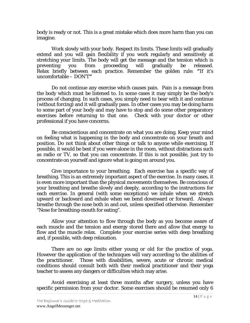body is ready or not. This is a great mistake which does more harm than you can imagine.

Work slowly with your body. Respect its limits. These limits will gradually extend and you will gain flexibility if you work regularly and sensitively at stretching your limits. The body will get the message and the tension which is preventing you from proceeding will gradually be released. Relax briefly between each practice. Remember the golden rule: **"**If it's uncomfortable – DON'T**"** 

Do not continue any exercise which causes pain.Pain is a message from the body which must be listened to. In some cases it may simply be the body's process of changing. In such cases, you simply need to bear with it and continue (without forcing) and it will gradually pass. In other cases you may be doing harm to some part of your body and may have to stop and do some other preparatory exercises before returning to that one. Check with your doctor or other professional if you have concerns.

Be conscientious and concentrate on what you are doing. Keep your mind on feeling what is happening in the body and concentrate on your breath and position. Do not think about other things or talk to anyone while exercising. If possible, it would be best if you were alone in the room, without distractions such as radio or TV, so that you can concentrate. If this is not possible, just try to concentrate on yourself and ignore what is going on around you.

Give importance to your breathing.Each exercise has a specific way of breathing. This is an extremely important aspect of the exercise. In many cases, it is even more important than the physical movements themselves. Be conscious of your breathing and breathe slowly and deeply, according to the instructions for each exercise. In general (with some exceptions) we inhale when we stretch upward or backward and exhale when we bend downward or forward. Always breathe through the nose both in and out, unless specified otherwise. Remember "Nose for breathing-mouth for eating".

Allow your attention to flow through the body as you become aware of each muscle and the tension and energy stored there and allow that energy to flow and the muscle relax. Complete your exercise series with deep breathing and, if possible, with deep relaxation.

There are no age limits either young or old for the practice of yoga. However the application of the techniques will vary according to the abilities of the practitioner. Those with disabilities, severe, acute or chronic medical conditions should consult both with their medical practitioner and their yoga teacher to assess any dangers or difficulties which may arise.

Avoid exercising at least three months after surgery, unless you have specific permission from your doctor. Some exercises should be resumed only 6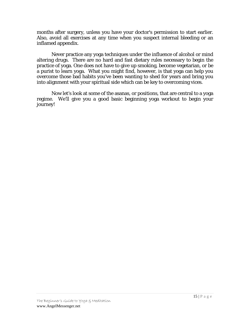months after surgery, unless you have your doctor's permission to start earlier. Also, avoid all exercises at any time when you suspect internal bleeding or an inflamed appendix.

Never practice any yoga techniques under the influence of alcohol or mind altering drugs. There are no hard and fast dietary rules necessary to begin the practice of yoga. One does not have to give up smoking, become vegetarian, or be a purist to learn yoga. What you might find, however, is that yoga can help you overcome those bad habits you've been wanting to shed for years and bring you into alignment with your spiritual side which can be key to overcoming vices.

 Now let's look at some of the asanas, or positions, that are central to a yoga regime. We'll give you a good basic beginning yoga workout to begin your journey!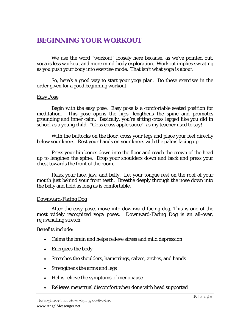# **BEGINNING YOUR WORKOUT**

We use the word "workout" loosely here because, as we've pointed out, yoga is less workout and more mind-body exploration. Workout implies sweating as you push your body into exercise mode. That isn't what yoga is about.

So, here's a good way to start your yoga plan. Do these exercises in the order given for a good beginning workout.

#### Easy Pose

 Begin with the easy pose. Easy pose is a comfortable seated position for meditation. This pose opens the hips, lengthens the spine and promotes grounding and inner calm. Basically, you're sitting cross legged like you did in school as a young child. "Criss cross apple sauce", as my teacher used to say!

 With the buttocks on the floor, cross your legs and place your feet directly below your knees. Rest your hands on your knees with the palms facing up.

Press your hip bones down into the floor and reach the crown of the head up to lengthen the spine. Drop your shoulders down and back and press your chest towards the front of the room.

 Relax your face, jaw, and belly. Let your tongue rest on the roof of your mouth just behind your front teeth. Breathe deeply through the nose down into the belly and hold as long as is comfortable.

#### Downward-Facing Dog

After the easy pose, move into downward-facing dog. This is one of the most widely recognized yoga poses. Downward-Facing Dog is an all-over, rejuvenating stretch.

- Calms the brain and helps relieve stress and mild depression
- Energizes the body
- Stretches the shoulders, hamstrings, calves, arches, and hands
- Strengthens the arms and legs
- Helps relieve the [symptoms](http://www.yogajournal.com/health/1139_1.cfm) of menopause
- Relieves menstrual discomfort when done with head supported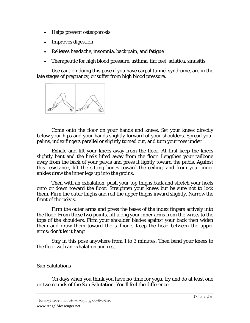- Helps prevent osteoporosis
- Improves digestion
- Relieves headache, insomnia, back pain, and fatigue
- Therapeutic for high blood pressure, asthma, flat feet, sciatica, sinusitis

Use caution doing this pose if you have carpal tunnel syndrome, are in the late stages of pregnancy, or suffer from high blood pressure.



Come onto the floor on your hands and knees. Set your knees directly below your hips and your hands slightly forward of your shoulders. Spread your palms, index fingers parallel or slightly turned out, and turn your toes under.

Exhale and lift your knees away from the floor. At first keep the knees slightly bent and the heels lifted away from the floor. Lengthen your tailbone away from the back of your pelvis and press it lightly toward the pubis. Against this resistance, lift the sitting bones toward the ceiling, and from your inner ankles draw the inner legs up into the groins.

Then with an exhalation, push your top thighs back and stretch your heels onto or down toward the floor. Straighten your knees but be sure not to lock them. Firm the outer thighs and roll the upper thighs inward slightly. Narrow the front of the pelvis.

Firm the outer arms and press the bases of the index fingers actively into the floor. From these two points, lift along your inner arms from the wrists to the tops of the shoulders. Firm your shoulder blades against your back then widen them and draw them toward the tailbone. Keep the head between the upper arms; don't let it hang.

Stay in this pose anywhere from 1 to 3 minutes. Then bend your knees to the floor with an exhalation and rest.

#### Sun Salutations

On days when you think you have no time for yoga, try and do at least one or two rounds of the Sun Salutation. You'll feel the difference.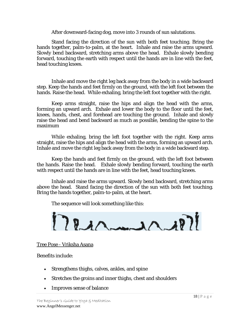After downward-facing dog, move into 3 rounds of sun salutations.

Stand facing the direction of the sun with both feet touching. Bring the hands together, palm-to-palm, at the heart. Inhale and raise the arms upward. Slowly bend backward, stretching arms above the head. Exhale slowly bending forward, touching the earth with respect until the hands are in line with the feet, head touching knees.

Inhale and move the right leg back away from the body in a wide backward step. Keep the hands and feet firmly on the ground, with the left foot between the hands. Raise the head. While exhaling, bring the left foot together with the right.

Keep arms straight, raise the hips and align the head with the arms, forming an upward arch. Exhale and lower the body to the floor until the feet, knees, hands, chest, and forehead are touching the ground. Inhale and slowly raise the head and bend backward as much as possible, bending the spine to the maximum

While exhaling, bring the left foot together with the right. Keep arms straight, raise the hips and align the head with the arms, forming an upward arch. Inhale and move the right leg back away from the body in a wide backward step.

Keep the hands and feet firmly on the ground, with the left foot between the hands. Raise the head. Exhale slowly bending forward, touching the earth with respect until the hands are in line with the feet, head touching knees.

Inhale and raise the arms upward. Slowly bend backward, stretching arms above the head. Stand facing the direction of the sun with both feet touching. Bring the hands together, palm-to-palm, at the heart.

The sequence will look something like this:



#### Tree Pose - Vriksha Asana

- Strengthens thighs, calves, ankles, and spine
- Stretches the groins and inner thighs, chest and shoulders
- Improves sense of balance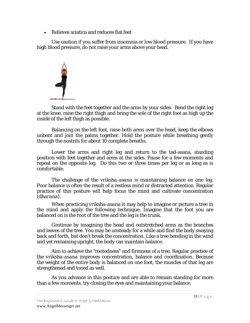• Relieves sciatica and reduces flat feet

Use caution if you suffer from insomnia or low blood pressure. If you have high blood pressure, do not raise your arms above your head.



Stand with the feet together and the arms by your sides. Bend the right leg at the knee, raise the right thigh and bring the sole of the right foot as high up the inside of the left thigh as possible.

Balancing on the left foot, raise both arms over the head, keep the elbows unbent and join the palms together. Hold the posture while breathing gently through the nostrils for about 10 complete breaths.

Lower the arms and right leg and return to the tad-asana, standing position with feet together and arms at the sides. Pause for a few moments and repeat on the opposite leg. Do this two or three times per leg or as long as is comfortable.

The challenge of the *vriksha-asana* is maintaining balance on one leg. Poor balance is often the result of a restless mind or distracted attention. Regular practice of this posture will help focus the mind and cultivate concentration (*dharana*).

When practicing *vriksha-asana* it may help to imagine or picture a tree in the mind and apply the following technique: Imagine that the foot you are balanced on is the root of the tree and the leg is the trunk.

Continue by imagining the head and outstretched arms as the branches and leaves of the tree. You may be unsteady for a while and find the body swaying back and forth, but don't break the concentration. Like a tree bending in the wind and yet remaining upright, the body can maintain balance.

Aim to achieve the "rootedness" and firmness of a tree. Regular practice of the *vriksha-asana* improves concentration, balance and coordination. Because the weight of the entire body is balanced on one foot, the muscles of that leg are strengthened and toned as well.

As you advance in this posture and are able to remain standing for more than a few moments, try closing the eyes and maintaining your balance.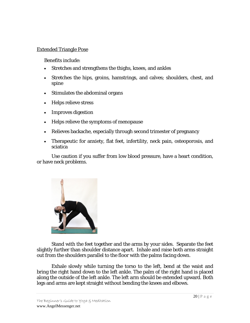## Extended Triangle Pose

Benefits include:

- Stretches and strengthens the thighs, knees, and ankles
- Stretches the hips, groins, hamstrings, and calves; shoulders, chest, and spine
- Stimulates the abdominal organs
- Helps relieve stress
- Improves digestion
- Helps relieve the symptoms of menopause
- Relieves backache, especially through second trimester of pregnancy
- Therapeutic for anxiety, flat feet, infertility, neck pain, osteoporosis, and sciatica

Use caution if you suffer from low blood pressure, have a heart condition, or have neck problems.



Stand with the feet together and the arms by your sides. Separate the feet slightly further than shoulder distance apart. Inhale and raise both arms straight out from the shoulders parallel to the floor with the palms facing down.

Exhale slowly while turning the torso to the left, bend at the waist and bring the right hand down to the left ankle. The palm of the right hand is placed along the outside of the left ankle. The left arm should be extended upward. Both legs and arms are kept straight without bending the knees and elbows.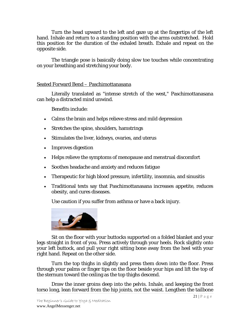Turn the head upward to the left and gaze up at the fingertips of the left hand. Inhale and return to a standing position with the arms outstretched. Hold this position for the duration of the exhaled breath. Exhale and repeat on the opposite side.

The triangle pose is basically doing slow toe touches while concentrating on your breathing and stretching your body.

## Seated Forward Bend – Paschimottanasana

Literally translated as "intense stretch of the west," Paschimottanasana can help a distracted mind unwind.

Benefits include:

- Calms the brain and helps relieve stress and mild depression
- Stretches the spine, shoulders, hamstrings
- Stimulates the liver, kidneys, ovaries, and uterus
- Improves digestion
- Helps relieve the symptoms of menopause and menstrual discomfort
- Soothes headache and anxiety and reduces fatigue
- Therapeutic for high blood pressure, infertility, insomnia, and sinusitis
- Traditional texts say that Paschimottanasana increases appetite, reduces obesity, and cures diseases.

Use caution if you suffer from asthma or have a back injury.



Sit on the floor with your buttocks supported on a folded blanket and your legs straight in front of you. Press actively through your heels. Rock slightly onto your left buttock, and pull your right sitting bone away from the heel with your right hand. Repeat on the other side.

Turn the top thighs in slightly and press them down into the floor. Press through your palms or finger tips on the floor beside your hips and lift the top of the sternum toward the ceiling as the top thighs descend.

Draw the inner groins deep into the pelvis. Inhale, and keeping the front torso long, lean forward from the hip joints, not the waist. Lengthen the tailbone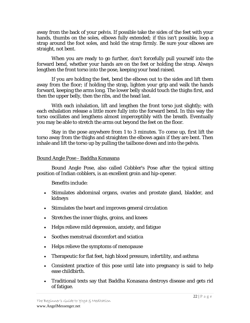away from the back of your pelvis. If possible take the sides of the feet with your hands, thumbs on the soles, elbows fully extended; if this isn't possible, loop a strap around the foot soles, and hold the strap firmly. Be sure your elbows are straight, not bent.

When you are ready to go further, don't forcefully pull yourself into the forward bend, whether your hands are on the feet or holding the strap. Always lengthen the front torso into the pose, keeping your head raised.

If you are holding the feet, bend the elbows out to the sides and lift them away from the floor; if holding the strap, lighten your grip and walk the hands forward, keeping the arms long. The lower belly should touch the thighs first, and then the upper belly, then the ribs, and the head last.

With each inhalation, lift and lengthen the front torso just slightly; with each exhalation release a little more fully into the forward bend. In this way the torso oscillates and lengthens almost imperceptibly with the breath. Eventually you may be able to stretch the arms out beyond the feet on the floor.

Stay in the pose anywhere from 1 to 3 minutes. To come up, first lift the torso away from the thighs and straighten the elbows again if they are bent. Then inhale and lift the torso up by pulling the tailbone down and into the pelvis.

#### Bound Angle Pose - Baddha Konasana

Bound Angle Pose, also called Cobbler's Pose after the typical sitting position of Indian cobblers, is an excellent groin and hip-opener.

- Stimulates abdominal organs, ovaries and prostate gland, bladder, and kidneys
- Stimulates the heart and improves general circulation
- Stretches the inner thighs, groins, and knees
- Helps relieve mild depression, anxiety, and fatigue
- Soothes menstrual discomfort and sciatica
- Helps relieve the symptoms of menopause
- Therapeutic for flat feet, high blood pressure, infertility, and asthma
- Consistent practice of this pose until late into pregnancy is said to help ease childbirth.
- Traditional texts say that Baddha Konasana destroys disease and gets rid of fatigue.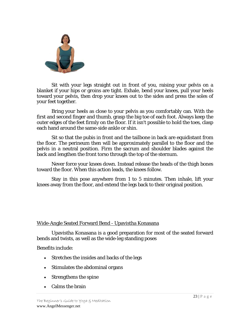

Sit with your legs straight out in front of you, raising your pelvis on a blanket if your hips or groins are tight. Exhale, bend your knees, pull your heels toward your pelvis, then drop your knees out to the sides and press the soles of your feet together.

Bring your heels as close to your pelvis as you comfortably can. With the first and second finger and thumb, grasp the big toe of each foot. Always keep the outer edges of the feet firmly on the floor. If it isn't possible to hold the toes, clasp each hand around the same-side ankle or shin.

Sit so that the pubis in front and the tailbone in back are equidistant from the floor. The perineum then will be approximately parallel to the floor and the pelvis in a neutral position. Firm the sacrum and shoulder blades against the back and lengthen the front torso through the top of the sternum.

Never force your knees down. Instead release the heads of the thigh bones toward the floor. When this action leads, the knees follow.

Stay in this pose anywhere from 1 to 5 minutes. Then inhale, lift your knees away from the floor, and extend the legs back to their original position.

#### Wide-Angle Seated Forward Bend - Upavistha Konasana

Upavistha Konasana is a good preparation for most of the seated forward bends and twists, as well as the wide-leg standing poses

- Stretches the insides and backs of the legs
- Stimulates the abdominal organs
- Strengthens the spine
- Calms the brain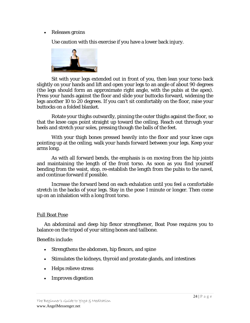• Releases groins

Use caution with this exercise if you have a lower back injury.



Sit with your legs extended out in front of you, then lean your torso back slightly on your hands and lift and open your legs to an angle of about 90 degrees (the legs should form an approximate right angle, with the pubis at the apex). Press your hands against the floor and slide your buttocks forward, widening the legs another 10 to 20 degrees. If you can't sit comfortably on the floor, raise your buttocks on a folded blanket.

Rotate your thighs outwardly, pinning the outer thighs against the floor, so that the knee caps point straight up toward the ceiling. Reach out through your heels and stretch your soles, pressing though the balls of the feet.

With your thigh bones pressed heavily into the floor and your knee caps pointing up at the ceiling, walk your hands forward between your legs. Keep your arms long.

As with all forward bends, the emphasis is on moving from the hip joints and maintaining the length of the front torso. As soon as you find yourself bending from the waist, stop, re-establish the length from the pubis to the navel, and continue forward if possible.

Increase the forward bend on each exhalation until you feel a comfortable stretch in the backs of your legs. Stay in the pose 1 minute or longer. Then come up on an inhalation with a long front torso.

#### Full Boat Pose

An abdominal and deep hip flexor strengthener, Boat Pose requires you to balance on the tripod of your sitting bones and tailbone.

- Strengthens the abdomen, hip flexors, and spine
- Stimulates the kidneys, thyroid and prostate glands, and intestines
- Helps relieve stress
- Improves digestion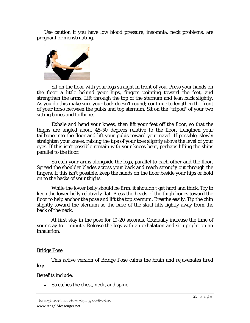Use caution if you have low blood pressure, insomnia, neck problems, are pregnant or menstruating.



Sit on the floor with your legs straight in front of you. Press your hands on the floor a little behind your hips, fingers pointing toward the feet, and strengthen the arms. Lift through the top of the sternum and lean back slightly. As you do this make sure your back doesn't round; continue to lengthen the front of your torso between the pubis and top sternum. Sit on the "tripod" of your two sitting bones and tailbone.

Exhale and bend your knees, then lift your feet off the floor, so that the thighs are angled about 45-50 degrees relative to the floor. Lengthen your tailbone into the floor and lift your pubis toward your navel. If possible, slowly straighten your knees, raising the tips of your toes slightly above the level of your eyes. If this isn't possible remain with your knees bent, perhaps lifting the shins parallel to the floor.

Stretch your arms alongside the legs, parallel to each other and the floor. Spread the shoulder blades across your back and reach strongly out through the fingers. If this isn't possible, keep the hands on the floor beside your hips or hold on to the backs of your thighs.

While the lower belly should be firm, it shouldn't get hard and thick. Try to keep the lower belly relatively flat. Press the heads of the thigh bones toward the floor to help anchor the pose and lift the top sternum. Breathe easily. Tip the chin slightly toward the sternum so the base of the skull lifts lightly away from the back of the neck.

At first stay in the pose for 10-20 seconds. Gradually increase the time of your stay to 1 minute. Release the legs with an exhalation and sit upright on an inhalation.

#### Bridge Pose

This active version of Bridge Pose calms the brain and rejuvenates tired legs.

#### Benefits include:

• Stretches the chest, neck, and spine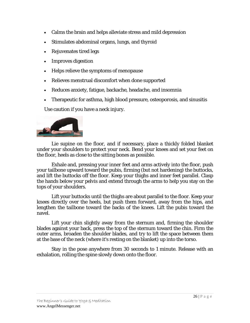- Calms the brain and helps alleviate stress and mild depression
- Stimulates abdominal organs, lungs, and thyroid
- Rejuvenates tired legs
- Improves digestion
- Helps relieve the symptoms of menopause
- Relieves menstrual discomfort when done supported
- Reduces anxiety, fatigue, backache, headache, and insomnia
- Therapeutic for asthma, high blood pressure, osteoporosis, and sinusitis

Use caution if you have a neck injury.



Lie supine on the floor, and if necessary, place a thickly folded blanket under your shoulders to protect your neck. Bend your knees and set your feet on the floor, heels as close to the sitting bones as possible.

Exhale and, pressing your inner feet and arms actively into the floor, push your tailbone upward toward the pubis, firming (but not hardening) the buttocks, and lift the buttocks off the floor. Keep your thighs and inner feet parallel. Clasp the hands below your pelvis and extend through the arms to help you stay on the tops of your shoulders.

Lift your buttocks until the thighs are about parallel to the floor. Keep your knees directly over the heels, but push them forward, away from the hips, and lengthen the tailbone toward the backs of the knees. Lift the pubis toward the navel.

Lift your chin slightly away from the sternum and, firming the shoulder blades against your back, press the top of the sternum toward the chin. Firm the outer arms, broaden the shoulder blades, and try to lift the space between them at the base of the neck (where it's resting on the blanket) up into the torso.

Stay in the pose anywhere from 30 seconds to 1 minute. Release with an exhalation, rolling the spine slowly down onto the floor.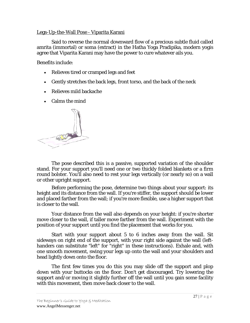## Legs-Up-the-Wall Pose - Viparita Karani

Said to reverse the normal downward flow of a precious subtle fluid called amrita (immortal) or soma (extract) in the Hatha Yoga Pradipika, modern yogis agree that Viparita Karani may have the power to cure whatever ails you.

Benefits include:

- Relieves tired or cramped legs and feet
- Gently stretches the back legs, front torso, and the back of the neck
- Relieves mild backache
- Calms the mind



The pose described this is a passive, supported variation of the shoulder stand. For your support you'll need one or two thickly folded blankets or a firm round bolster. You'll also need to rest your legs vertically (or nearly so) on a wall or other upright support.

Before performing the pose, determine two things about your support: its height and its distance from the wall. If you're stiffer, the support should be lower and placed farther from the wall; if you're more flexible, use a higher support that is closer to the wall.

Your distance from the wall also depends on your height: if you're shorter move closer to the wall, if taller move farther from the wall. Experiment with the position of your support until you find the placement that works for you.

Start with your support about 5 to 6 inches away from the wall. Sit sideways on right end of the support, with your right side against the wall (lefthanders can substitute "left" for "right" in these instructions). Exhale and, with one smooth movement, swing your legs up onto the wall and your shoulders and head lightly down onto the floor.

The first few times you do this you may slide off the support and plop down with your buttocks on the floor. Don't get discouraged. Try lowering the support and/or moving it slightly further off the wall until you gain some facility with this movement, then move back closer to the wall.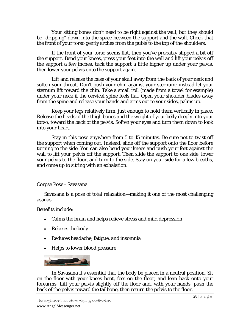Your sitting bones don't need to be right against the wall, but they should be "dripping" down into the space between the support and the wall. Check that the front of your torso gently arches from the pubis to the top of the shoulders.

If the front of your torso seems flat, then you've probably slipped a bit off the support. Bend your knees, press your feet into the wall and lift your pelvis off the support a few inches, tuck the support a little higher up under your pelvis, then lower your pelvis onto the support again.

Lift and release the base of your skull away from the back of your neck and soften your throat. Don't push your chin against your sternum; instead let your sternum lift toward the chin. Take a small roll (made from a towel for example) under your neck if the cervical spine feels flat. Open your shoulder blades away from the spine and release your hands and arms out to your sides, palms up.

Keep your legs relatively firm, just enough to hold them vertically in place. Release the heads of the thigh bones and the weight of your belly deeply into your torso, toward the back of the pelvis. Soften your eyes and turn them down to look into your heart.

Stay in this pose anywhere from 5 to 15 minutes. Be sure not to twist off the support when coming out. Instead, slide off the support onto the floor before turning to the side. You can also bend your knees and push your feet against the wall to lift your pelvis off the support. Then slide the support to one side, lower your pelvis to the floor, and turn to the side. Stay on your side for a few breaths, and come up to sitting with an exhalation.

#### Corpse Pose - Savasana

Savasana is a pose of total relaxation—making it one of the most challenging asanas.

Benefits include:

- Calms the brain and helps relieve stress and mild depression
- Relaxes the body
- Reduces headache, fatigue, and insomnia
- Helps to lower blood pressure



In Savasana it's essential that the body be placed in a neutral position. Sit on the floor with your knees bent, feet on the floor, and lean back onto your forearms. Lift your pelvis slightly off the floor and, with your hands, push the back of the pelvis toward the tailbone, then return the pelvis to the floor.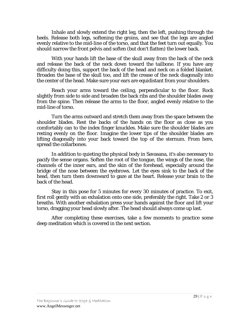Inhale and slowly extend the right leg, then the left, pushing through the heels. Release both legs, softening the groins, and see that the legs are angled evenly relative to the mid-line of the torso, and that the feet turn out equally. You should narrow the front pelvis and soften (but don't flatten) the lower back.

With your hands lift the base of the skull away from the back of the neck and release the back of the neck down toward the tailbone. If you have any difficulty doing this, support the back of the head and neck on a folded blanket. Broaden the base of the skull too, and lift the crease of the neck diagonally into the center of the head. Make sure your ears are equidistant from your shoulders.

Reach your arms toward the ceiling, perpendicular to the floor. Rock slightly from side to side and broaden the back ribs and the shoulder blades away from the spine. Then release the arms to the floor, angled evenly relative to the mid-line of torso.

Turn the arms outward and stretch them away from the space between the shoulder blades. Rest the backs of the hands on the floor as close as you comfortably can to the index finger knuckles. Make sure the shoulder blades are resting evenly on the floor. Imagine the lower tips of the shoulder blades are lifting diagonally into your back toward the top of the sternum. From here, spread the collarbones.

In addition to quieting the physical body in Savasana, it's also necessary to pacify the sense organs. Soften the root of the tongue, the wings of the nose, the channels of the inner ears, and the skin of the forehead, especially around the bridge of the nose between the eyebrows. Let the eyes sink to the back of the head, then turn them downward to gaze at the heart. Release your brain to the back of the head.

Stay in this pose for 5 minutes for every 30 minutes of practice. To exit, first roll gently with an exhalation onto one side, preferably the right. Take 2 or 3 breaths. With another exhalation press your hands against the floor and lift your torso, dragging your head slowly after. The head should always come up last.

 After completing these exercises, take a few moments to practice some deep meditation which is covered in the next section.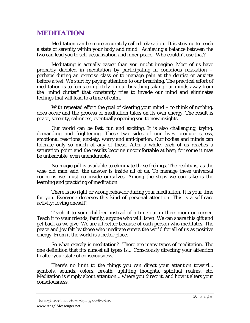## **MEDITATION**

 Meditation can be more accurately called relaxation. It is striving to reach a state of serenity within your body and mind. Achieving a balance between the two can lead you to self-actualization and inner peace. Who couldn't use that?

Meditating is actually easier than you might imagine. Most of us have probably dabbled in meditation by participating in conscious relaxation – perhaps during an exercise class or to manage pain at the dentist or anxiety before a test. We start by paying attention to our breathing. The practical effort of meditation is to focus completely on our breathing taking our minds away from the "mind clutter" that constantly tries to invade our mind and eliminates feelings that will lead to a time of calm.

With repeated effort the goal of clearing your mind – to think of nothing, does occur and the process of meditation takes on its own energy. The result is peace, serenity, calmness, eventually opening you to new insights.

Our world can be fast, fun and exciting. It is also challenging, trying, demanding and frightening. These two sides of our lives produce stress, emotional reactions, anxiety, worry and anticipation. Our bodies and minds can tolerate only so much of any of these. After a while, each of us reaches a saturation point and the results become uncomfortable at best; for some it may be unbearable, even unendurable.

No magic pill is available to eliminate these feelings. The reality is, as the wise old man said, the answer is inside all of us. To manage these universal concerns we must go inside ourselves. Among the steps we can take is the learning and practicing of meditation.

There is no right or wrong behavior during your meditation. It is your time for you. Everyone deserves this kind of personal attention. This is a self-care activity; loving oneself!

Teach it to your children instead of a time-out in their room or corner. Teach it to your friends, family, anyone who will listen. We can share this gift and get back as we give. We are all better because of each person who meditates. The peace and joy felt by those who meditate enters the world for all of us as positive energy. From it the world is a better place.

So what exactly is meditation? There are many types of meditation. The one definition that fits almost all types is..."Consciously directing your attention to alter your state of consciousness."

There's no limit to the things you can direct your attention toward... symbols, sounds, colors, breath, uplifting thoughts, spiritual realms, etc. Meditation is simply about attention... where you direct it, and how it alters your consciousness.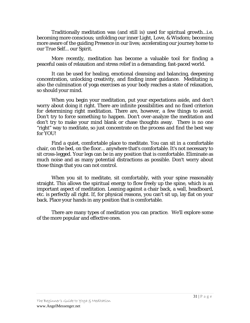Traditionally meditation was (and still is) used for spiritual growth...i.e. becoming more conscious; unfolding our inner Light, Love, & Wisdom; becoming more aware of the guiding Presence in our lives; accelerating our journey home to our True Self... our Spirit.

More recently, meditation has become a valuable tool for finding a peaceful oasis of relaxation and stress relief in a demanding, fast-paced world.

It can be used for healing, emotional cleansing and balancing, deepening concentration, unlocking creativity, and finding inner guidance. Meditating is also the culmination of yoga exercises as your body reaches a state of relaxation, so should your mind.

When you begin your meditation, put your expectations aside, and don't worry about doing it right. There are infinite possibilities and no fixed criterion for determining right meditation. There are, however, a few things to avoid. Don't try to force something to happen. Don't over-analyze the meditation and don't try to make your mind blank or chase thoughts away. There is no one "right" way to meditate, so just concentrate on the process and find the best way for YOU!

Find a quiet, comfortable place to meditate. You can sit in a comfortable chair, on the bed, on the floor... anywhere that's comfortable. It's not necessary to sit cross-legged. Your legs can be in any position that is comfortable. Eliminate as much noise and as many potential distractions as possible. Don't worry about those things that you can not control.

When you sit to meditate, sit comfortably, with your spine reasonably straight. This allows the spiritual energy to flow freely up the spine, which is an important aspect of meditation. Leaning against a chair back, a wall, headboard, etc. is perfectly all right. If, for physical reasons, you can't sit up, lay flat on your back. Place your hands in any position that is comfortable.

There are many types of meditation you can practice. We'll explore some of the more popular and effective ones.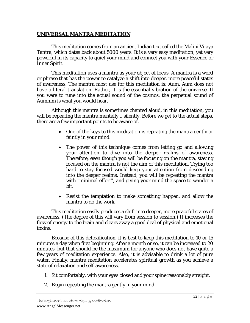#### **UNIVERSAL MANTRA MEDITATION**

This meditation comes from an ancient Indian text called the Malini Vijaya Tantra, which dates back about 5000 years. It is a very easy meditation, yet very powerful in its capacity to quiet your mind and connect you with your Essence or Inner Spirit.

This meditation uses a mantra as your object of focus. A mantra is a word or phrase that has the power to catalyze a shift into deeper, more peaceful states of awareness. The mantra most use for this meditation is: Aum. Aum does not have a literal translation. Rather, it is the essential vibration of the universe. If you were to tune into the actual sound of the cosmos, the perpetual sound of Aummm is what you would hear.

Although this mantra is sometimes chanted aloud, in this meditation, you will be repeating the mantra mentally... silently. Before we get to the actual steps, there are a few important points to be aware of.

- One of the keys to this meditation is repeating the mantra gently or faintly in your mind.
- The power of this technique comes from letting go and allowing your attention to dive into the deeper realms of awareness. Therefore, even though you will be focusing on the mantra, staying focused on the mantra is not the aim of this meditation. Trying too hard to stay focused would keep your attention from descending into the deeper realms. Instead, you will be repeating the mantra with "minimal effort", and giving your mind the space to wander a bit.
- Resist the temptation to make something happen, and allow the mantra to do the work.

This meditation easily produces a shift into deeper, more peaceful states of awareness. (The degree of this will vary from session to session.) It increases the flow of energy to the brain and clears away a good deal of physical and emotional toxins.

Because of this detoxification, it is best to keep this meditation to 10 or 15 minutes a day when first beginning. After a month or so, it can be increased to 20 minutes, but that should be the maximum for anyone who does not have quite a few years of meditation experience. Also, it is advisable to drink a lot of pure water. Finally, mantra meditation accelerates spiritual growth as you achieve a state of relaxation and self-awareness.

- 1. Sit comfortably, with your eyes closed and your spine reasonably straight.
- 2. Begin repeating the mantra gently in your mind.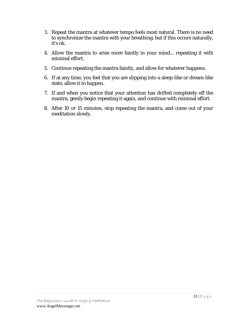- 3. Repeat the mantra at whatever tempo feels most natural. There is no need to synchronize the mantra with your breathing, but if this occurs naturally, it's ok.
- 4. Allow the mantra to arise more faintly in your mind... repeating it with minimal effort.
- 5. Continue repeating the mantra faintly, and allow for whatever happens.
- 6. If at any time, you feel that you are slipping into a sleep-like or dream-like state, allow it to happen.
- 7. If and when you notice that your attention has drifted completely off the mantra, gently begin repeating it again, and continue with minimal effort.
- 8. After 10 or 15 minutes, stop repeating the mantra, and come out of your meditation slowly.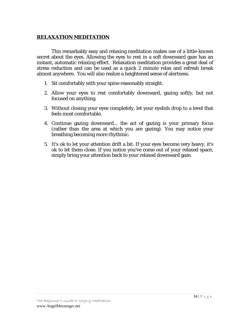## **RELAXATION MEDITATION**

This remarkably easy and relaxing meditation makes use of a little-known secret about the eyes. Allowing the eyes to rest in a soft downward gaze has an instant, automatic relaxing effect. Relaxation meditation provides a great deal of stress reduction and can be used as a quick 2 minute relax and refresh break almost anywhere. You will also realize a heightened sense of alertness.

- 1. Sit comfortably with your spine reasonably straight.
- 2. Allow your eyes to rest comfortably downward, gazing softly, but not focused on anything.
- 3. Without closing your eyes completely, let your eyelids drop to a level that feels most comfortable.
- 4. Continue gazing downward... the act of gazing is your primary focus (rather than the area at which you are gazing). You may notice your breathing becoming more rhythmic.
- 5. It's ok to let your attention drift a bit. If your eyes become very heavy, it's ok to let them close. If you notice you've come out of your relaxed space, simply bring your attention back to your relaxed downward gaze.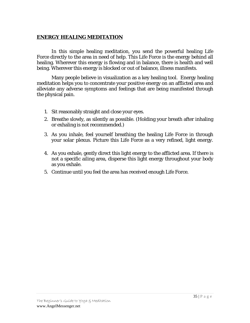## **ENERGY HEALING MEDITATION**

In this simple healing meditation, you send the powerful healing Life Force directly to the area in need of help. This Life Force is the energy behind all healing. Wherever this energy is flowing and in balance, there is health and well being. Wherever this energy is blocked or out of balance, illness manifests.

Many people believe in visualization as a key healing tool. Energy healing meditation helps you to concentrate your positive energy on an afflicted area and alleviate any adverse symptoms and feelings that are being manifested through the physical pain.

- 1. Sit reasonably straight and close your eyes.
- 2. Breathe slowly, as silently as possible. (Holding your breath after inhaling or exhaling is not recommended.)
- 3. As you inhale, feel yourself breathing the healing Life Force in through your solar plexus. Picture this Life Force as a very refined, light energy.
- 4. As you exhale, gently direct this light energy to the afflicted area. If there is not a specific ailing area, disperse this light energy throughout your body as you exhale.
- 5. Continue until you feel the area has received enough Life Force.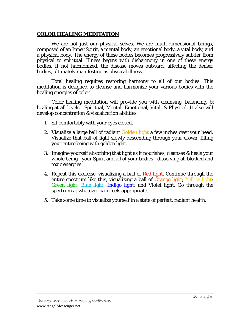#### **COLOR HEALING MEDITATION**

We are not just our physical selves. We are multi-dimensional beings, composed of an Inner Spirit, a mental body, an emotional body, a vital body, and a physical body. The energy of these bodies becomes progressively subtler from physical to spiritual. Illness begins with disharmony in one of these energy bodies. If not harmonized, the disease moves outward, affecting the denser bodies, ultimately manifesting as physical illness.

Total healing requires restoring harmony to all of our bodies. This meditation is designed to cleanse and harmonize your various bodies with the healing energies of color.

Color healing meditation will provide you with cleansing, balancing, & healing at all levels: Spiritual, Mental, Emotional, Vital, & Physical. It also will develop concentration & visualization abilities.

- 1. Sit comfortably with your eyes closed.
- 2. Visualize a large ball of radiant Golden light a few inches over your head. Visualize that ball of light slowly descending through your crown, filling your entire being with golden light.
- 3. Imagine yourself absorbing that light as it nourishes, cleanses & heals your whole being - your Spirit and all of your bodies - dissolving all blocked and toxic energies.
- 4. Repeat this exercise, visualizing a ball of Red light. Continue through the entire spectrum like this, visualizing a ball of Orange light; Yellow light; Green light; Blue light; Indigo light; and Violet light. Go through the spectrum at whatever pace feels appropriate.
- 5. Take some time to visualize yourself in a state of perfect, radiant health.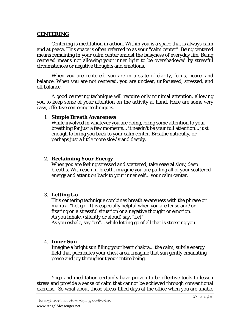#### **CENTERING**

Centering is meditation in action. Within you is a space that is always calm and at peace. This space is often referred to as your "calm center". Being centered means remaining in your calm center amidst the busyness of everyday life. Being centered means not allowing your inner light to be overshadowed by stressful circumstances or negative thoughts and emotions.

When you are centered, you are in a state of clarity, focus, peace, and balance. When you are not centered, you are unclear, unfocussed, stressed, and off balance.

A good centering technique will require only minimal attention, allowing you to keep some of your attention on the activity at hand. Here are some very easy, effective centering techniques.

#### 1. **Simple Breath Awareness**

While involved in whatever you are doing, bring some attention to your breathing for just a few moments... it needn't be your full attention... just enough to bring you back to your calm center. Breathe naturally, or perhaps just a little more slowly and deeply.

#### 2. **Reclaiming Your Energy**

When you are feeling stressed and scattered, take several slow, deep breaths. With each in-breath, imagine you are pulling all of your scattered energy and attention back to your inner self... your calm center.

#### 3. **Letting Go**

This centering technique combines breath awareness with the phrase or mantra, "Let go." It is especially helpful when you are tense and/or fixating on a stressful situation or a negative thought or emotion. As you inhale, (silently or aloud) say, "Let" As you exhale, say "go"... while letting go of all that is stressing you.

#### 4. **Inner Sun**

Imagine a bright sun filling your heart chakra... the calm, subtle energy field that permeates your chest area. Imagine that sun gently emanating peace and joy throughout your entire being.

Yoga and meditation certainly have proven to be effective tools to lessen stress and provide a sense of calm that cannot be achieved through conventional exercise. So what about those stress-filled days at the office when you are unable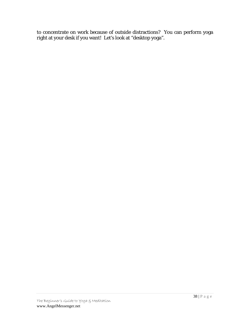to concentrate on work because of outside distractions? You can perform yoga right at your desk if you want! Let's look at "desktop yoga".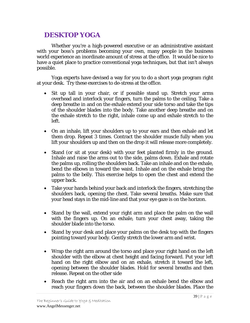# **DESKTOP YOGA**

Whether you're a high-powered executive or an administrative assistant with your boss's problems becoming your own, many people in the business world experience an inordinate amount of stress at the office. It would be nice to have a quiet place to practice conventional yoga techniques, but that isn't always possible.

Yoga experts have devised a way for you to do a short yoga program right at your desk. Try these exercises to de-stress at the office.

- Sit up tall in your chair, or if possible stand up. Stretch your arms overhead and interlock your fingers, turn the palms to the ceiling. Take a deep breathe in and on the exhale extend your side torso and take the tips of the shoulder blades into the body. Take another deep breathe and on the exhale stretch to the right, inhale come up and exhale stretch to the left.
- On an inhale, lift your shoulders up to your ears and then exhale and let them drop. Repeat 3 times. Contract the shoulder muscle fully when you lift your shoulders up and then on the drop it will release more completely.
- Stand (or sit at your desk) with your feet planted firmly in the ground. Inhale and raise the arms out to the side, palms down. Exhale and rotate the palms up, rolling the shoulders back. Take an inhale and on the exhale, bend the elbows in toward the waist. Inhale and on the exhale bring the palms to the belly. This exercise helps to open the chest and extend the upper back.
- Take your hands behind your back and interlock the fingers, stretching the shoulders back, opening the chest. Take several breaths. Make sure that your head stays in the mid-line and that your eye gaze is on the horizon.
- Stand by the wall, extend your right arm and place the palm on the wall with the fingers up. On an exhale, turn your chest away, taking the shoulder blade into the torso.
- Stand by your desk and place your palms on the desk top with the fingers pointing toward your body. Gently stretch the lower arm and wrist.
- Wrap the right arm around the torso and place your right hand on the left shoulder with the elbow at chest height and facing forward. Put your left hand on the right elbow and on an exhale, stretch it toward the left, opening between the shoulder blades. Hold for several breaths and then release. Repeat on the other side
- Reach the right arm into the air and on an exhale bend the elbow and reach your fingers down the back, between the shoulder blades. Place the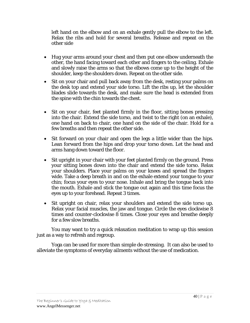left hand on the elbow and on an exhale gently pull the elbow to the left. Relax the ribs and hold for several breaths. Release and repeat on the other side

- Hug your arms around your chest and then put one elbow underneath the other, the hand facing toward each other and fingers to the ceiling. Exhale and slowly raise the arms so that the elbows come up to the height of the shoulder, keep the shoulders down. Repeat on the other side.
- Sit on your chair and pull back away from the desk, resting your palms on the desk top and extend your side torso. Lift the ribs up, let the shoulder blades slide towards the desk, and make sure the head is extended from the spine with the chin towards the chest.
- Sit on your chair, feet planted firmly in the floor, sitting bones pressing into the chair. Extend the side torso, and twist to the right (on an exhale), one hand on back to chair, one hand on the side of the chair. Hold for a few breaths and then repeat the other side.
- Sit forward on your chair and open the legs a little wider than the hips. Lean forward from the hips and drop your torso down. Let the head and arms hang down toward the floor.
- Sit upright in your chair with your feet planted firmly on the ground. Press your sitting bones down into the chair and extend the side torso. Relax your shoulders. Place your palms on your knees and spread the fingers wide. Take a deep breath in and on the exhale extend your tongue to your chin; focus your eyes to your nose. Inhale and bring the tongue back into the mouth. Exhale and stick the tongue out again and this time focus the eyes up to your forehead. Repeat 3 times.
- Sit upright on chair, relax your shoulders and extend the side torso up. Relax your facial muscles, the jaw and tongue. Circle the eyes clockwise 8 times and counter-clockwise 8 times. Close your eyes and breathe deeply for a few slow breaths.

You may want to try a quick relaxation meditation to wrap up this session just as a way to refresh and regroup.

Yoga can be used for more than simple de-stressing. It can also be used to alleviate the symptoms of everyday ailments without the use of medication.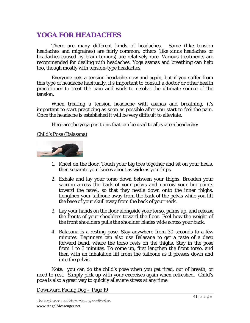# **YOGA FOR HEADACHES**

There are many different kinds of headaches. Some (like tension headaches and migraines) are fairly common; others (like sinus headaches or headaches caused by brain tumors) are relatively rare. Various treatments are recommended for dealing with headaches. Yoga asanas and breathing can help too, though mostly with tension-type headaches.

Everyone gets a tension headache now and again, but if you suffer from this type of headache habitually, it's important to consult a doctor or other health practitioner to treat the pain and work to resolve the ultimate source of the tension.

When treating a tension headache with asanas and breathing, it's important to start practicing as soon as possible after you start to feel the pain. Once the headache is established it will be very difficult to alleviate.

Here are the yoga positions that can be used to alleviate a headache:

## Child's Pose (Balasana)



- 1. Kneel on the floor. Touch your big toes together and sit on your heels, then separate your knees about as wide as your hips.
- 2. Exhale and lay your torso down between your thighs. Broaden your sacrum across the back of your pelvis and narrow your hip points toward the navel, so that they nestle down onto the inner thighs. Lengthen your tailbone away from the back of the pelvis while you lift the base of your skull away from the back of your neck.
- 3. Lay your hands on the floor alongside your torso, palms up, and release the fronts of your shoulders toward the floor. Feel how the weight of the front shoulders pulls the shoulder blades wide across your back.
- 4. Balasana is a resting pose. Stay anywhere from 30 seconds to a few minutes. Beginners can also use Balasana to get a taste of a deep forward bend, where the torso rests on the thighs. Stay in the pose from 1 to 3 minutes. To come up, first lengthen the front torso, and then with an inhalation lift from the tailbone as it presses down and into the pelvis.

Note: you can do the child's pose when you get tired, out of breath, or need to rest. Simply pick up with your exercises again when refreshed. Child's pose is also a great way to quickly alleviate stress at any time.

#### Downward Facing Dog – Page 19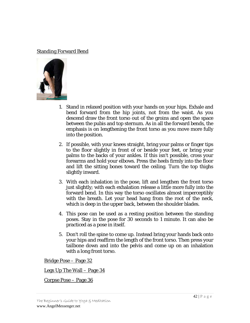## Standing Forward Bend



- 1. Stand in relaxed position with your hands on your hips. Exhale and bend forward from the hip joints, not from the waist. As you descend draw the front torso out of the groins and open the space between the pubis and top sternum. As in all the forward bends, the emphasis is on lengthening the front torso as you move more fully into the position.
- 2. If possible, with your knees straight, bring your palms or finger tips to the floor slightly in front of or beside your feet, or bring your palms to the backs of your ankles. If this isn't possible, cross your forearms and hold your elbows. Press the heels firmly into the floor and lift the sitting bones toward the ceiling. Turn the top thighs slightly inward.
- 3. With each inhalation in the pose, lift and lengthen the front torso just slightly; with each exhalation release a little more fully into the forward bend. In this way the torso oscillates almost imperceptibly with the breath. Let your head hang from the root of the neck, which is deep in the upper back, between the shoulder blades.
- 4. This pose can be used as a resting position between the standing poses. Stay in the pose for 30 seconds to 1 minute. It can also be practiced as a pose in itself.
- 5. Don't roll the spine to come up. Instead bring your hands back onto your hips and reaffirm the length of the front torso. Then press your tailbone down and into the pelvis and come up on an inhalation with a long front torso.

Bridge Pose – Page 32

Legs Up The Wall – Page 34

Corpse Pose – Page 36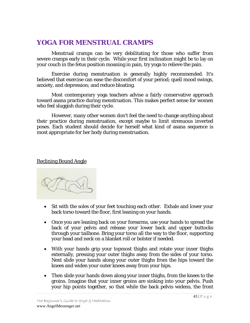# **YOGA FOR MENSTRUAL CRAMPS**

 Menstrual cramps can be very debilitating for those who suffer from severe cramps early in their cycle. While your first inclination might be to lay on your couch in the fetus position moaning in pain, try yoga to relieve the pain.

Exercise during menstruation is generally highly recommended. It's believed that exercise can ease the discomfort of your period; quell mood swings, anxiety, and depression; and reduce bloating.

Most contemporary yoga teachers advise a fairly conservative approach toward asana practice during menstruation. This makes perfect sense for women who feel sluggish during their cycle.

However, many other women don't feel the need to change anything about their practice during menstruation, except maybe to limit strenuous inverted poses. Each student should decide for herself what kind of asana sequence is most appropriate for her body during menstruation.

## Reclining Bound Angle



- Sit with the soles of your feet touching each other. Exhale and lower your back torso toward the floor, first leaning on your hands.
- Once you are leaning back on your forearms, use your hands to spread the back of your pelvis and release your lower back and upper buttocks through your tailbone. Bring your torso all the way to the floor, supporting your head and neck on a blanket roll or bolster if needed.
- With your hands grip your topmost thighs and rotate your inner thighs externally, pressing your outer thighs away from the sides of your torso. Next slide your hands along your outer thighs from the hips toward the knees and widen your outer knees away from your hips.
- Then slide your hands down along your inner thighs, from the knees to the groins. Imagine that your inner groins are sinking into your pelvis. Push your hip points together, so that while the back pelvis widens, the front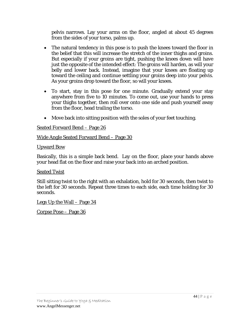pelvis narrows. Lay your arms on the floor, angled at about 45 degrees from the sides of your torso, palms up.

- The natural tendency in this pose is to push the knees toward the floor in the belief that this will increase the stretch of the inner thighs and groins. But especially if your groins are tight, pushing the knees down will have just the opposite of the intended effect: The groins will harden, as will your belly and lower back. Instead, imagine that your knees are floating up toward the ceiling and continue settling your groins deep into your pelvis. As your groins drop toward the floor, so will your knees.
- To start, stay in this pose for one minute. Gradually extend your stay anywhere from five to 10 minutes. To come out, use your hands to press your thighs together, then roll over onto one side and push yourself away from the floor, head trailing the torso.
- Move back into sitting position with the soles of your feet touching.

## Seated Forward Bend – Page 26

Wide Angle Seated Forward Bend – Page 30

## Upward Bow

Basically, this is a simple back bend. Lay on the floor, place your hands above your head flat on the floor and raise your back into an arched position.

#### Seated Twist

Still sitting twist to the right with an exhalation, hold for 30 seconds, then twist to the left for 30 seconds. Repeat three times to each side, each time holding for 30 seconds.

Legs Up the Wall – Page 34

Corpse Pose – Page 36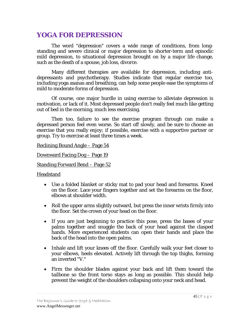# **YOGA FOR DEPRESSION**

The word "depression" covers a wide range of conditions, from longstanding and severe clinical or major depression to shorter-term and episodic mild depression, to situational depression brought on by a major life change, such as the death of a spouse, job loss, divorce.

Many different therapies are available for depression, including antidepressants and psychotherapy. Studies indicate that regular exercise too, including yoga asanas and breathing, can help some people ease the symptoms of mild to moderate forms of depression.

Of course, one major hurdle in using exercise to alleviate depression is motivation, or lack of it. Most depressed people don't really feel much like getting out of bed in the morning, much less exercising.

Then too, failure to see the exercise program through can make a depressed person feel even worse. So start off slowly, and be sure to choose an exercise that you really enjoy; if possible, exercise with a supportive partner or group. Try to exercise at least three times a week.

#### Reclining Bound Angle – Page 54

Downward Facing Dog – Page 19

Standing Forward Bend – Page 52

#### Headstand

- Use a folded blanket or sticky mat to pad your head and forearms. Kneel on the floor. Lace your fingers together and set the forearms on the floor, elbows at shoulder width.
- Roll the upper arms slightly outward, but press the inner wrists firmly into the floor. Set the crown of your head on the floor.
- If you are just beginning to practice this pose, press the bases of your palms together and snuggle the back of your head against the clasped hands. More experienced students can open their hands and place the back of the head into the open palms.
- Inhale and lift your knees off the floor. Carefully walk your feet closer to your elbows, heels elevated. Actively lift through the top thighs, forming an inverted "V."
- Firm the shoulder blades against your back and lift them toward the tailbone so the front torso stays as long as possible. This should help prevent the weight of the shoulders collapsing onto your neck and head.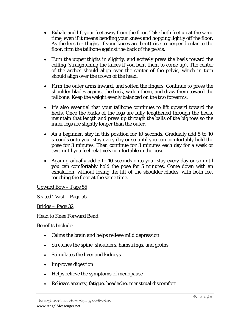- Exhale and lift your feet away from the floor. Take both feet up at the same time, even if it means bending your knees and hopping lightly off the floor. As the legs (or thighs, if your knees are bent) rise to perpendicular to the floor, firm the tailbone against the back of the pelvis.
- Turn the upper thighs in slightly, and actively press the heels toward the ceiling (straightening the knees if you bent them to come up). The center of the arches should align over the center of the pelvis, which in turn should align over the crown of the head.
- Firm the outer arms inward, and soften the fingers. Continue to press the shoulder blades against the back, widen them, and draw them toward the tailbone. Keep the weight evenly balanced on the two forearms.
- It's also essential that your tailbone continues to lift upward toward the heels. Once the backs of the legs are fully lengthened through the heels, maintain that length and press up through the balls of the big toes so the inner legs are slightly longer than the outer.
- As a beginner, stay in this position for 10 seconds. Gradually add 5 to 10 seconds onto your stay every day or so until you can comfortably hold the pose for 3 minutes. Then continue for 3 minutes each day for a week or two, until you feel relatively comfortable in the pose.
- Again gradually add 5 to 10 seconds onto your stay every day or so until you can comfortably hold the pose for 5 minutes. Come down with an exhalation, without losing the lift of the shoulder blades, with both feet touching the floor at the same time.

Upward Bow – Page 55

Seated Twist – Page 55

Bridge – Page 32

## Head to Knee Forward Bend

- Calms the brain and helps relieve mild depression
- Stretches the spine, shoulders, hamstrings, and groins
- Stimulates the liver and kidneys
- Improves digestion
- Helps relieve the symptoms of menopause
- Relieves anxiety, fatigue, headache, menstrual discomfort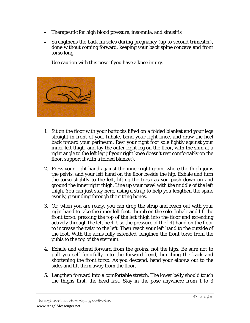- Therapeutic for high blood pressure, insomnia, and sinusitis
- Strengthens the back muscles during pregnancy (up to second trimester), done without coming forward, keeping your back spine concave and front torso long.

Use caution with this pose if you have a knee injury.



- 1. Sit on the floor with your buttocks lifted on a folded blanket and your legs straight in front of you. Inhale, bend your right knee, and draw the heel back toward your perineum. Rest your right foot sole lightly against your inner left thigh, and lay the outer right leg on the floor, with the shin at a right angle to the left leg (if your right knee doesn't rest comfortably on the floor, support it with a folded blanket).
- 2. Press your right hand against the inner right groin, where the thigh joins the pelvis, and your left hand on the floor beside the hip. Exhale and turn the torso slightly to the left, lifting the torso as you push down on and ground the inner right thigh. Line up your navel with the middle of the left thigh. You can just stay here, using a strap to help you lengthen the spine evenly, grounding through the sitting bones.
- 3. Or, when you are ready, you can drop the strap and reach out with your right hand to take the inner left foot, thumb on the sole. Inhale and lift the front torso, pressing the top of the left thigh into the floor and extending actively through the left heel. Use the pressure of the left hand on the floor to increase the twist to the left. Then reach your left hand to the outside of the foot. With the arms fully extended, lengthen the front torso from the pubis to the top of the sternum.
- 4. Exhale and extend forward from the groins, not the hips. Be sure not to pull yourself forcefully into the forward bend, hunching the back and shortening the front torso. As you descend, bend your elbows out to the sides and lift them away from the floor.
- 5. Lengthen forward into a comfortable stretch. The lower belly should touch the thighs first, the head last. Stay in the pose anywhere from 1 to 3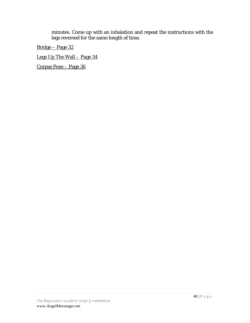minutes. Come up with an inhalation and repeat the instructions with the legs reversed for the same length of time.

Bridge – Page 32

Legs Up The Wall – Page 34

Corpse Pose – Page 36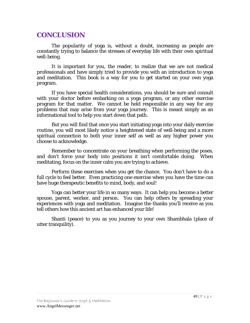# **CONCLUSION**

The popularity of yoga is, without a doubt, increasing as people are constantly trying to balance the stresses of everyday life with their own spiritual well-being.

It is important for you, the reader, to realize that we are not medical professionals and have simply tried to provide you with an introduction to yoga and meditation. This book is a way for you to get started on your own yoga program.

If you have special health considerations, you should be sure and consult with your doctor before embarking on a yoga program, or any other exercise program for that matter. We cannot be held responsible in any way for any problems that may arise from your yoga journey. This is meant simply as an informational tool to help you start down that path.

But you will find that once you start initiating yoga into your daily exercise routine, you will most likely notice a heightened state of well-being and a more spiritual connection to both your inner self as well as any higher power you choose to acknowledge.

Remember to concentrate on your breathing when performing the poses, and don't force your body into positions it isn't comfortable doing. When meditating, focus on the inner calm you are trying to achieve.

Perform these exercises when you get the chance. You don't have to do a full cycle to feel better. Even practicing one exercise when you have the time can have huge therapeutic benefits to mind, body, and soul!

Yoga can better your life in so many ways. It can help you become a better spouse, parent, worker, and person. You can help others by spreading your experiences with yoga and meditation. Imagine the thanks you'll receive as you tell others how this ancient art has enhanced your life!

Shanti (peace) to you as you journey to your own Shambhala (place of utter tranquility).